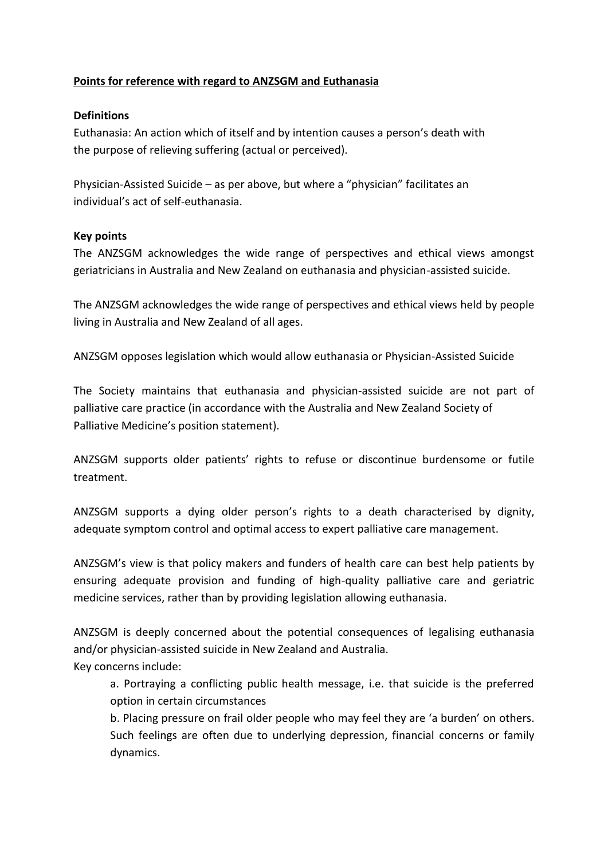## **Points for reference with regard to ANZSGM and Euthanasia**

## **Definitions**

Euthanasia: An action which of itself and by intention causes a person's death with the purpose of relieving suffering (actual or perceived).

Physician-Assisted Suicide – as per above, but where a "physician" facilitates an individual's act of self-euthanasia.

## **Key points**

The ANZSGM acknowledges the wide range of perspectives and ethical views amongst geriatricians in Australia and New Zealand on euthanasia and physician-assisted suicide.

The ANZSGM acknowledges the wide range of perspectives and ethical views held by people living in Australia and New Zealand of all ages.

ANZSGM opposes legislation which would allow euthanasia or Physician-Assisted Suicide

The Society maintains that euthanasia and physician-assisted suicide are not part of palliative care practice (in accordance with the Australia and New Zealand Society of Palliative Medicine's position statement).

ANZSGM supports older patients' rights to refuse or discontinue burdensome or futile treatment.

ANZSGM supports a dying older person's rights to a death characterised by dignity, adequate symptom control and optimal access to expert palliative care management.

ANZSGM's view is that policy makers and funders of health care can best help patients by ensuring adequate provision and funding of high-quality palliative care and geriatric medicine services, rather than by providing legislation allowing euthanasia.

ANZSGM is deeply concerned about the potential consequences of legalising euthanasia and/or physician-assisted suicide in New Zealand and Australia. Key concerns include:

a. Portraying a conflicting public health message, i.e. that suicide is the preferred option in certain circumstances

b. Placing pressure on frail older people who may feel they are 'a burden' on others. Such feelings are often due to underlying depression, financial concerns or family dynamics.